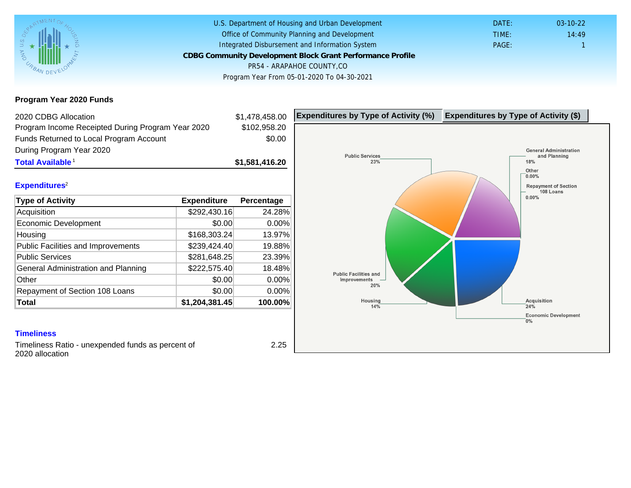Program Year 2020 Funds

| 2020 CDBG Allocation                              |                | \$1,478,458.00 | Expenditures by Type of Activity (%) | Expenditure |
|---------------------------------------------------|----------------|----------------|--------------------------------------|-------------|
| Program Income Receipted During Program Year 2020 |                | \$102,958.20   |                                      |             |
| Funds Returned to Local Program Account           |                | \$0.00         |                                      |             |
| During Program Year 2020                          |                |                |                                      |             |
| Total Available <sup>1</sup>                      |                | \$1,581,416.20 |                                      |             |
|                                                   |                |                |                                      |             |
| Expenditures <sup>2</sup>                         |                |                |                                      |             |
| Type of Activity                                  | Expenditure    | Percentage     |                                      |             |
| Acquisition                                       | \$292,430.16   | 24.28%         |                                      |             |
| Economic Development                              | \$0.00         | 0.00%          |                                      |             |
| Housing                                           | \$168,303.24   | 13.97%         |                                      |             |
| <b>Public Facilities and Improvements</b>         | \$239,424.40   | 19.88%         |                                      |             |
| <b>Public Services</b>                            | \$281,648.25   | 23.39%         |                                      |             |
| General Administration and Planning               | \$222,575.40   | 18.48%         |                                      |             |
| Other                                             | \$0.00         | 0.00%          |                                      |             |
| Repayment of Section 108 Loans                    | \$0.00         | 0.00%          |                                      |             |
| Total                                             | \$1,204,381.45 | 100.00%        |                                      |             |
|                                                   |                |                |                                      |             |
| <b>Timeliness</b>                                 |                |                |                                      |             |

Timeliness Ratio - unexpended funds as percent of 2020 allocation

2.25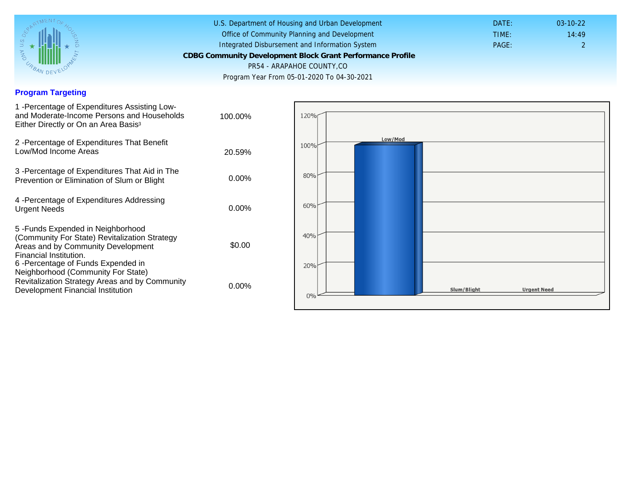## Program Targeting

| 1 - Percentage of Expenditures Assisting Low-<br>and Moderate-Income Persons and Households<br>Either Directly or On an Area Basis <sup>3</sup>                                                                              | 100.00%  |
|------------------------------------------------------------------------------------------------------------------------------------------------------------------------------------------------------------------------------|----------|
| 2 - Percentage of Expenditures That Benefit<br>Low/Mod Income Areas                                                                                                                                                          | 20.59%   |
| 3 -Percentage of Expenditures That Aid in The<br>Prevention or Elimination of Slum or Blight                                                                                                                                 | $0.00\%$ |
| 4 - Percentage of Expenditures Addressing<br><b>Urgent Needs</b>                                                                                                                                                             | $0.00\%$ |
| 5-Funds Expended in Neighborhood<br>(Community For State) Revitalization Strategy<br>Areas and by Community Development<br>Financial Institution.<br>6-Percentage of Funds Expended in<br>Neighborhood (Community For State) | \$0.00   |
| Revitalization Strategy Areas and by Community<br>Development Financial Institution                                                                                                                                          | $0.00\%$ |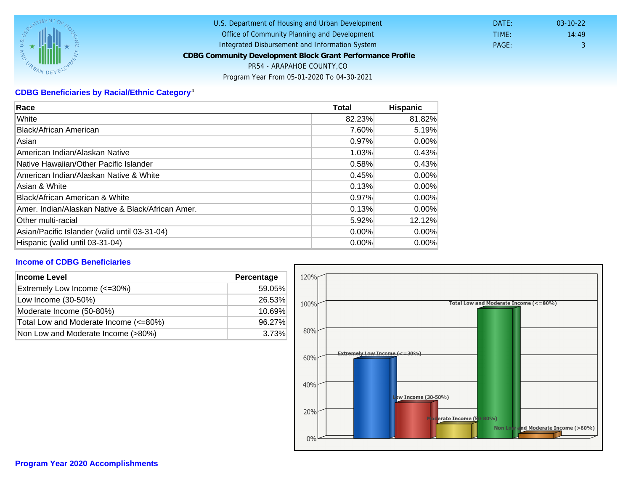## CDBG Beneficiaries by Racial/Ethnic Category <sup>4</sup>

| Race                                              | Total    | Hispanic |
|---------------------------------------------------|----------|----------|
| White                                             | 82.23%   | 81.82%   |
| Black/African American                            | 7.60%    | 5.19%    |
| Asian                                             | 0.97%    | $0.00\%$ |
| American Indian/Alaskan Native                    | 1.03%    | 0.43%    |
| lNative Hawaiian/Other Pacific Islander           | 0.58%    | 0.43%    |
| American Indian/Alaskan Native & White            | 0.45%    | $0.00\%$ |
| Asian & White                                     | 0.13%    | 0.00%    |
| Black/African American & White                    | 0.97%    | $0.00\%$ |
| Amer. Indian/Alaskan Native & Black/African Amer. | 0.13%    | $0.00\%$ |
| <b>Other multi-racial</b>                         | 5.92%    | 12.12%   |
| Asian/Pacific Islander (valid until 03-31-04)     | $0.00\%$ | $0.00\%$ |
| Hispanic (valid until 03-31-04)                   | 0.00%    | 0.00%    |

## Income of CDBG Beneficiaries

| Income Level                          | Percentage |  |
|---------------------------------------|------------|--|
| Extremely Low Income (<=30%)          | 59.05%     |  |
| Low Income (30-50%)                   | 26.53%     |  |
| Moderate Income (50-80%)              | 10.69%     |  |
| Total Low and Moderate Income (<=80%) | 96.27%     |  |
| Non Low and Moderate Income (>80%)    | 3.73%      |  |